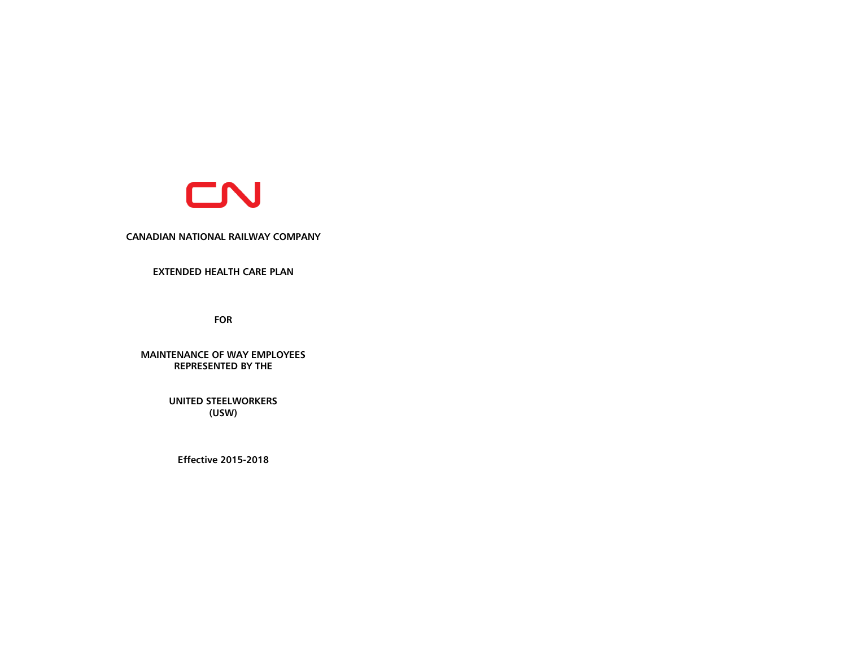

#### **CANADIAN NATIONAL RAILWAY COMPANY**

# **EXTENDED HEALTH CARE PLAN**

**FOR**

**MAINTENANCE OF WAY EMPLOYEES REPRESENTED BY THE**

> **UNITED STEELWORKERS (USW)**

**Effective 2015-2018**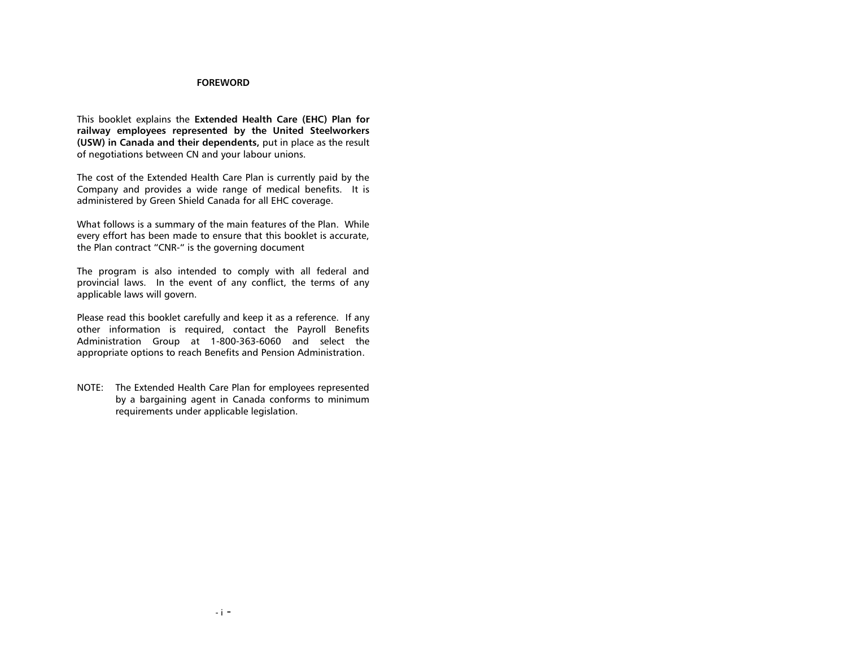#### **FOREWORD**

This booklet explains the **Extended Health Care (EHC) Plan for railway employees represented by the United Steelworkers (USW) in Canada and their dependents,** put in place as the result of negotiations between CN and your labour unions.

The cost of the Extended Health Care Plan is currently paid by the Company and provides a wide range of medical benefits. It is administered by Green Shield Canada for all EHC coverage.

What follows is a summary of the main features of the Plan. While every effort has been made to ensure that this booklet is accurate, the Plan contract "CNR-" is the governing document

The program is also intended to comply with all federal and provincial laws. In the event of any conflict, the terms of any applicable laws will govern.

Please read this booklet carefully and keep it as a reference. If any other information is required, contact the Payroll Benefits Administration Group at 1-800-363-6060 and select the appropriate options to reach Benefits and Pension Administration.

NOTE: The Extended Health Care Plan for employees represented by a bargaining agent in Canada conforms to minimum requirements under applicable legislation.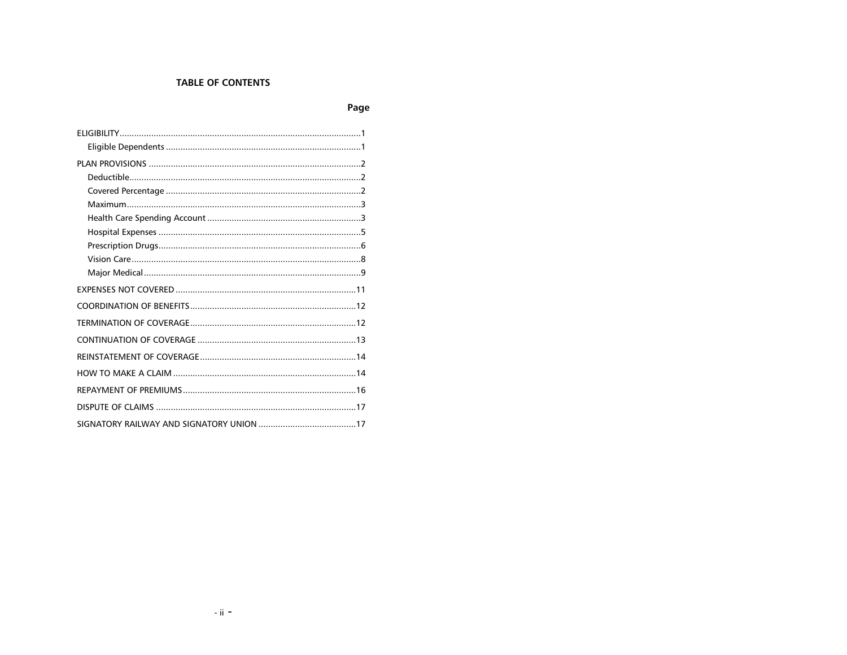# **TABLE OF CONTENTS**

# Page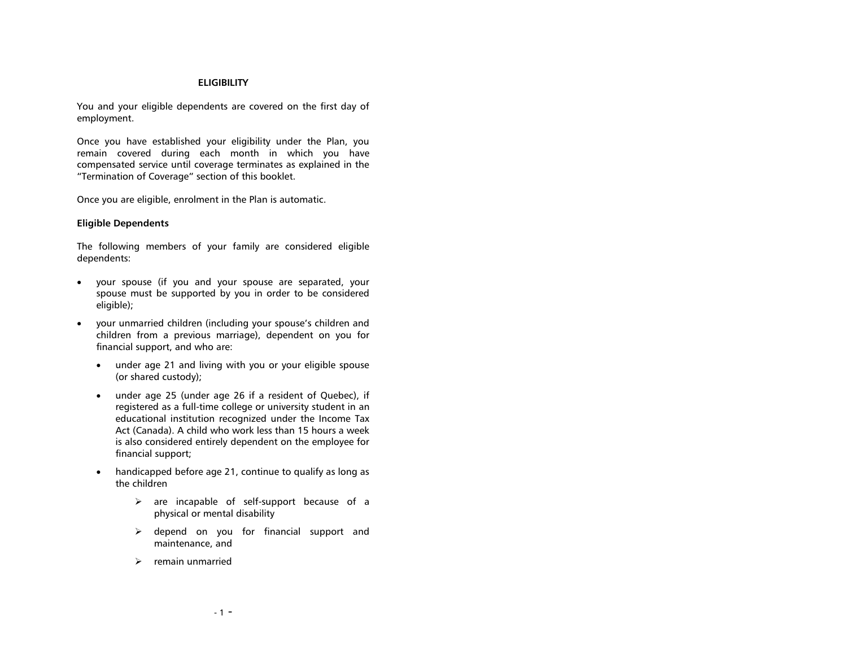#### **ELIGIBILITY**

<span id="page-3-0"></span>You and your eligible dependents are covered on the first day of employment.

Once you have established your eligibility under the Plan, you remain covered during each month in which you have compensated service until coverage terminates as explained in the "Termination of Coverage" section of this booklet.

Once you are eligible, enrolment in the Plan is automatic.

#### <span id="page-3-1"></span>**Eligible Dependents**

The following members of your family are considered eligible dependents:

- your spouse (if you and your spouse are separated, your spouse must be supported by you in order to be considered eligible);
- your unmarried children (including your spouse's children and children from a previous marriage), dependent on you for financial support, and who are:
	- under age 21 and living with you or your eligible spouse (or shared custody);
	- under age 25 (under age 26 if a resident of Quebec), if registered as a full-time college or university student in an educational institution recognized under the Income Tax Act (Canada). A child who work less than 15 hours a week is also considered entirely dependent on the employee for financial support;
	- handicapped before age 21, continue to qualify as long as the children
		- $\triangleright$  are incapable of self-support because of a physical or mental disability
		- $\triangleright$  depend on you for financial support and maintenance, and
		- $\triangleright$  remain unmarried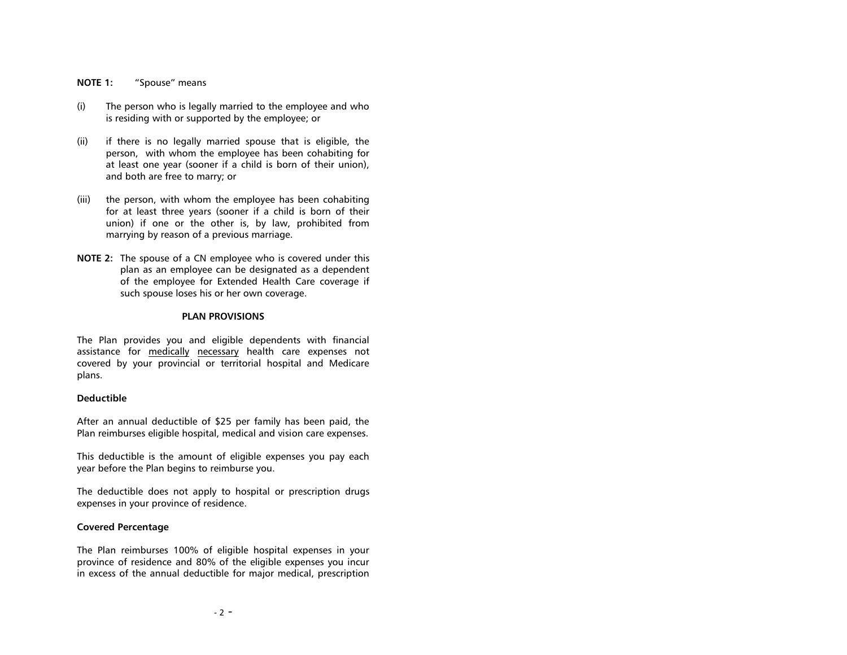#### **NOTE 1:** "Spouse" means

- (i) The person who is legally married to the employee and who is residing with or supported by the employee; or
- (ii) if there is no legally married spouse that is eligible, the person, with whom the employee has been cohabiting for at least one year (sooner if a child is born of their union), and both are free to marry; or
- (iii) the person, with whom the employee has been cohabiting for at least three years (sooner if a child is born of their union) if one or the other is, by law, prohibited from marrying by reason of a previous marriage.
- **NOTE 2:** The spouse of a CN employee who is covered under this plan as an employee can be designated as a dependent of the employee for Extended Health Care coverage if such spouse loses his or her own coverage.

#### **PLAN PROVISIONS**

<span id="page-4-0"></span>The Plan provides you and eligible dependents with financial assistance for medically necessary health care expenses not covered by your provincial or territorial hospital and Medicare plans.

#### <span id="page-4-1"></span>**Deductible**

After an annual deductible of \$25 per family has been paid, the Plan reimburses eligible hospital, medical and vision care expenses.

This deductible is the amount of eligible expenses you pay each year before the Plan begins to reimburse you.

The deductible does not apply to hospital or prescription drugs expenses in your province of residence.

#### <span id="page-4-2"></span>**Covered Percentage**

The Plan reimburses 100% of eligible hospital expenses in your province of residence and 80% of the eligible expenses you incur in excess of the annual deductible for major medical, prescription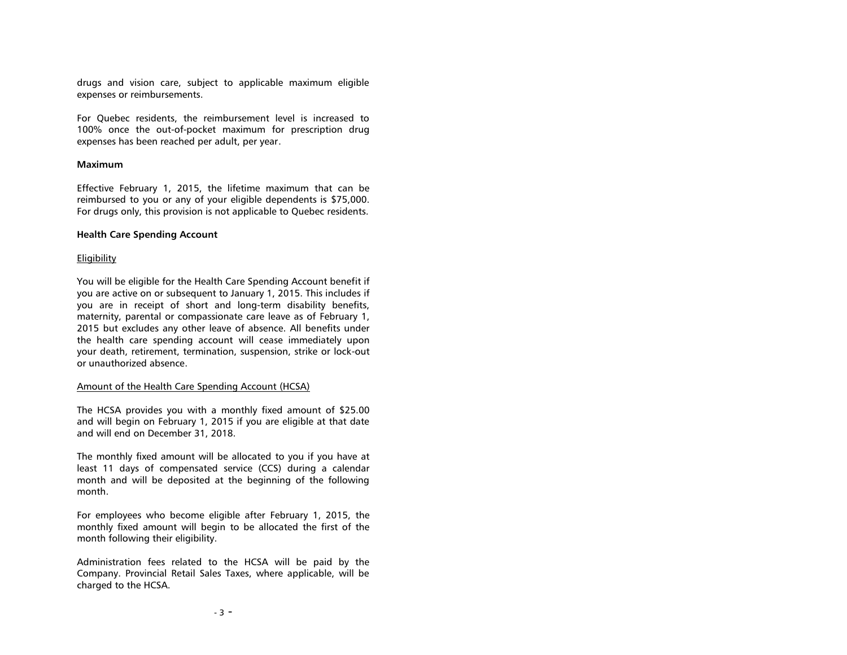drugs and vision care, subject to applicable maximum eligible expenses or reimbursements.

For Quebec residents, the reimbursement level is increased to 100% once the out-of-pocket maximum for prescription drug expenses has been reached per adult, per year.

## <span id="page-5-0"></span>**Maximum**

Effective February 1, 2015, the lifetime maximum that can be reimbursed to you or any of your eligible dependents is \$75,000. For drugs only, this provision is not applicable to Quebec residents.

#### <span id="page-5-1"></span>**Health Care Spending Account**

## **Eligibility**

You will be eligible for the Health Care Spending Account benefit if you are active on or subsequent to January 1, 2015. This includes if you are in receipt of short and long-term disability benefits, maternity, parental or compassionate care leave as of February 1, 2015 but excludes any other leave of absence. All benefits under the health care spending account will cease immediately upon your death, retirement, termination, suspension, strike or lock-out or unauthorized absence.

#### Amount of the Health Care Spending Account (HCSA)

The HCSA provides you with a monthly fixed amount of \$25.00 and will begin on February 1, 2015 if you are eligible at that date and will end on December 31, 2018.

The monthly fixed amount will be allocated to you if you have at least 11 days of compensated service (CCS) during a calendar month and will be deposited at the beginning of the following month.

For employees who become eligible after February 1, 2015, the monthly fixed amount will begin to be allocated the first of the month following their eligibility.

Administration fees related to the HCSA will be paid by the Company. Provincial Retail Sales Taxes, where applicable, will be charged to the HCSA.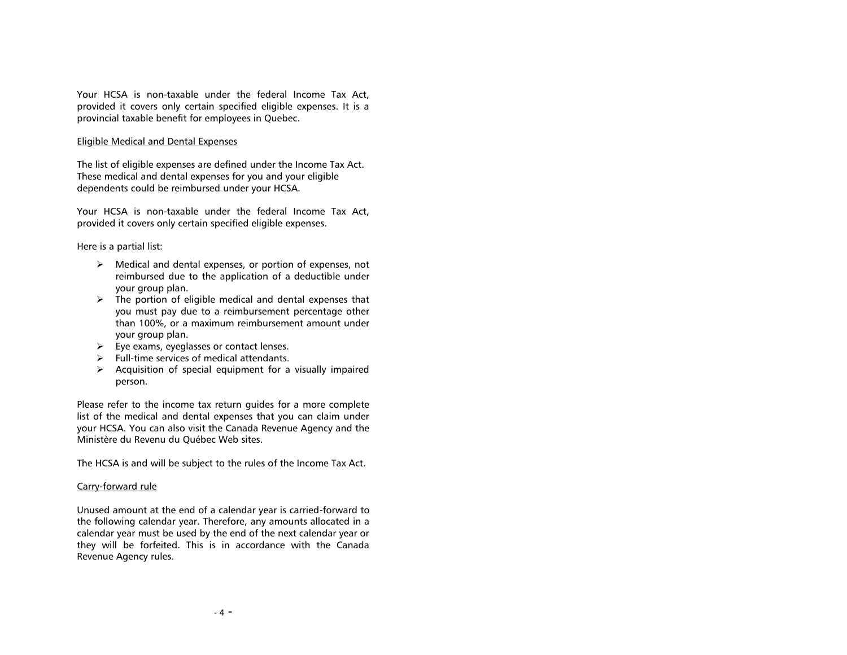Your HCSA is non-taxable under the federal Income Tax Act, provided it covers only certain specified eligible expenses. It is a provincial taxable benefit for employees in Quebec.

## Eligible Medical and Dental Expenses

The list of eligible expenses are defined under the Income Tax Act. These medical and dental expenses for you and your eligible dependents could be reimbursed under your HCSA.

Your HCSA is non-taxable under the federal Income Tax Act, provided it covers only certain specified eligible expenses.

## Here is a partial list:

- $\triangleright$  Medical and dental expenses, or portion of expenses, not reimbursed due to the application of a deductible under your group plan.
- $\triangleright$  The portion of eligible medical and dental expenses that you must pay due to a reimbursement percentage other than 100%, or a maximum reimbursement amount under your group plan.
- $\triangleright$  Eye exams, eyeglasses or contact lenses.
- $\triangleright$  Full-time services of medical attendants.
- $\triangleright$  Acquisition of special equipment for a visually impaired person.

Please refer to the income tax return guides for a more complete list of the medical and dental expenses that you can claim under your HCSA. You can also visit the Canada Revenue Agency and the Ministère du Revenu du Québec Web sites.

The HCSA is and will be subject to the rules of the Income Tax Act.

## Carry-forward rule

Unused amount at the end of a calendar year is carried-forward to the following calendar year. Therefore, any amounts allocated in a calendar year must be used by the end of the next calendar year or they will be forfeited. This is in accordance with the Canada Revenue Agency rules.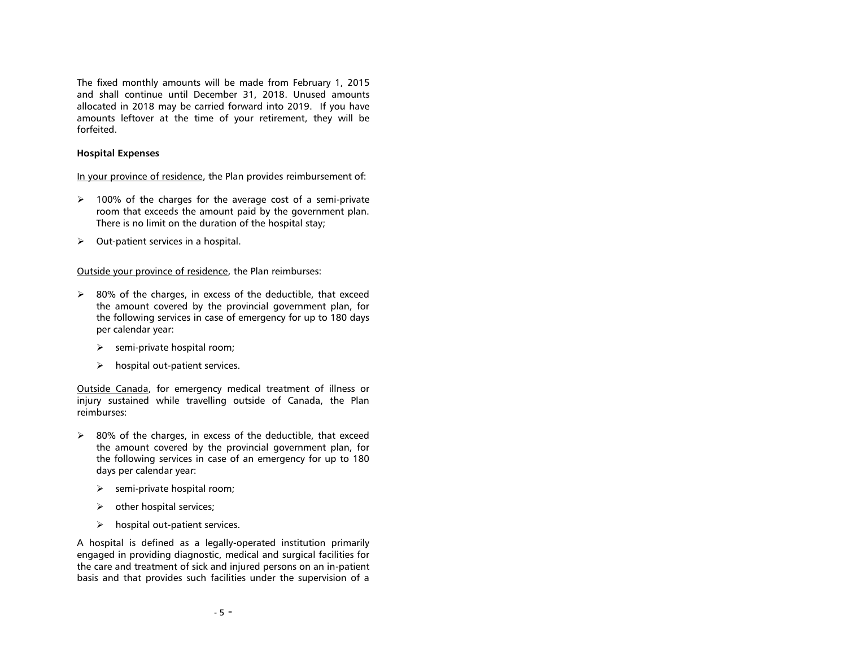The fixed monthly amounts will be made from February 1, 2015 and shall continue until December 31, 2018. Unused amounts allocated in 2018 may be carried forward into 2019. If you have amounts leftover at the time of your retirement, they will be forfeited.

## <span id="page-7-0"></span>**Hospital Expenses**

In your province of residence, the Plan provides reimbursement of:

- $\geq$  100% of the charges for the average cost of a semi-private room that exceeds the amount paid by the government plan. There is no limit on the duration of the hospital stay;
- $\triangleright$  Out-patient services in a hospital.

## Outside your province of residence, the Plan reimburses:

- $\geq$  80% of the charges, in excess of the deductible, that exceed the amount covered by the provincial government plan, for the following services in case of emergency for up to 180 days per calendar year:
	- $\triangleright$  semi-private hospital room;
	- $\triangleright$  hospital out-patient services.

Outside Canada, for emergency medical treatment of illness or injury sustained while travelling outside of Canada, the Plan reimburses:

- $\geq$  80% of the charges, in excess of the deductible, that exceed the amount covered by the provincial government plan, for the following services in case of an emergency for up to 180 days per calendar year:
	- $\triangleright$  semi-private hospital room;
	- $\triangleright$  other hospital services;
	- $\triangleright$  hospital out-patient services.

A hospital is defined as a legally-operated institution primarily engaged in providing diagnostic, medical and surgical facilities for the care and treatment of sick and injured persons on an in-patient basis and that provides such facilities under the supervision of a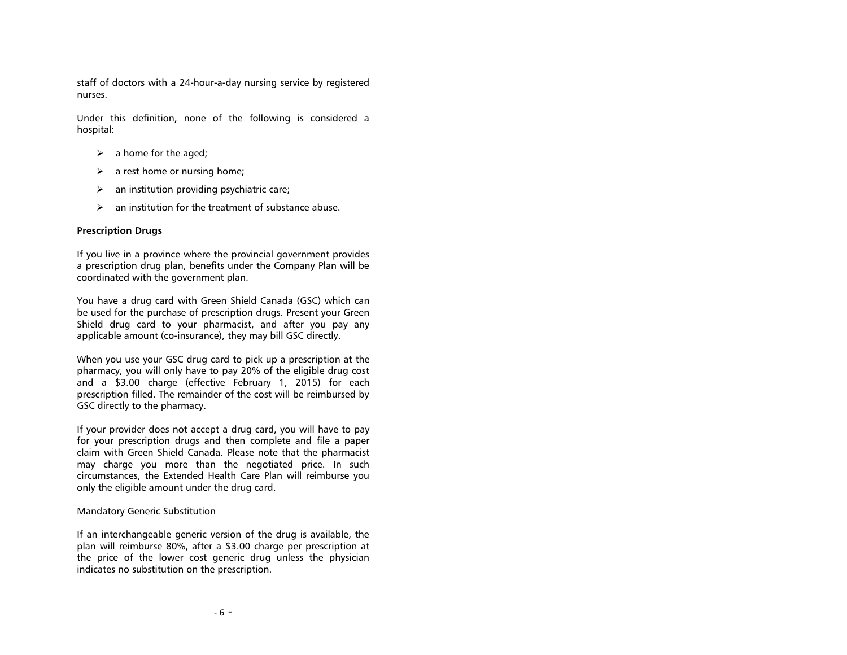staff of doctors with a 24-hour-a-day nursing service by registered nurses.

Under this definition, none of the following is considered a hospital:

- $\triangleright$  a home for the aged;
- $\triangleright$  a rest home or nursing home;
- $\triangleright$  an institution providing psychiatric care;
- $\triangleright$  an institution for the treatment of substance abuse.

# <span id="page-8-0"></span>**Prescription Drugs**

If you live in a province where the provincial government provides a prescription drug plan, benefits under the Company Plan will be coordinated with the government plan.

You have a drug card with Green Shield Canada (GSC) which can be used for the purchase of prescription drugs. Present your Green Shield drug card to your pharmacist, and after you pay any applicable amount (co-insurance), they may bill GSC directly.

When you use your GSC drug card to pick up a prescription at the pharmacy, you will only have to pay 20% of the eligible drug cost and a \$3.00 charge (effective February 1, 2015) for each prescription filled. The remainder of the cost will be reimbursed by GSC directly to the pharmacy.

If your provider does not accept a drug card, you will have to pay for your prescription drugs and then complete and file a paper claim with Green Shield Canada. Please note that the pharmacist may charge you more than the negotiated price. In such circumstances, the Extended Health Care Plan will reimburse you only the eligible amount under the drug card.

## Mandatory Generic Substitution

If an interchangeable generic version of the drug is available, the plan will reimburse 80%, after a \$3.00 charge per prescription at the price of the lower cost generic drug unless the physician indicates no substitution on the prescription.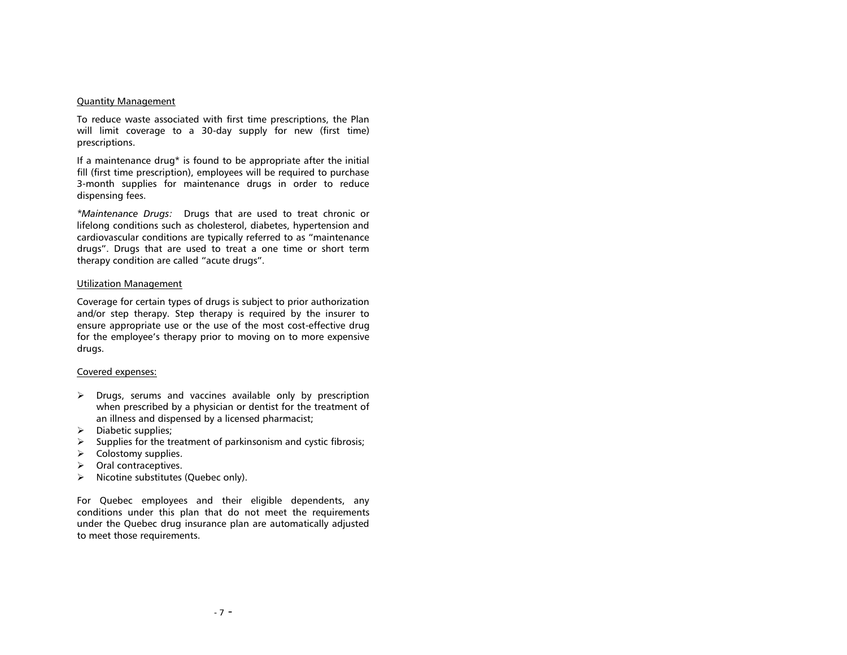#### Quantity Management

To reduce waste associated with first time prescriptions, the Plan will limit coverage to a 30-day supply for new (first time) prescriptions.

If a maintenance drug\* is found to be appropriate after the initial fill (first time prescription), employees will be required to purchase 3-month supplies for maintenance drugs in order to reduce dispensing fees.

*\*Maintenance Drugs:* Drugs that are used to treat chronic or lifelong conditions such as cholesterol, diabetes, hypertension and cardiovascular conditions are typically referred to as "maintenance drugs". Drugs that are used to treat a one time or short term therapy condition are called "acute drugs".

## Utilization Management

Coverage for certain types of drugs is subject to prior authorization and/or step therapy. Step therapy is required by the insurer to ensure appropriate use or the use of the most cost-effective drug for the employee's therapy prior to moving on to more expensive drugs.

## Covered expenses:

- $\triangleright$  Drugs, serums and vaccines available only by prescription when prescribed by a physician or dentist for the treatment of an illness and dispensed by a licensed pharmacist;
- $\triangleright$  Diabetic supplies:
- $\triangleright$  Supplies for the treatment of parkinsonism and cystic fibrosis;
- $\triangleright$  Colostomy supplies.
- $\triangleright$  Oral contraceptives.
- $\triangleright$  Nicotine substitutes (Quebec only).

For Quebec employees and their eligible dependents, any conditions under this plan that do not meet the requirements under the Quebec drug insurance plan are automatically adjusted to meet those requirements.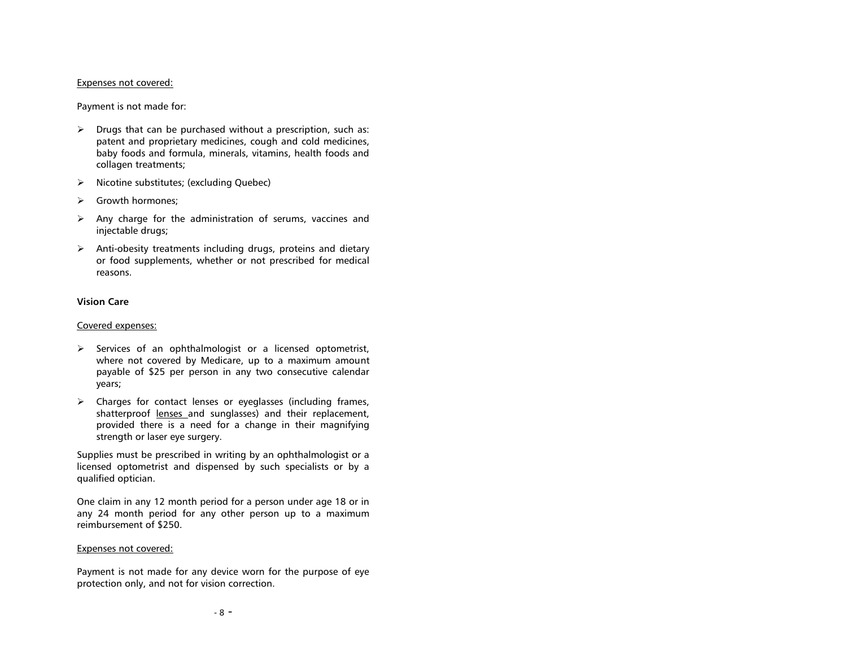#### Expenses not covered:

Payment is not made for:

- $\triangleright$  Drugs that can be purchased without a prescription, such as: patent and proprietary medicines, cough and cold medicines, baby foods and formula, minerals, vitamins, health foods and collagen treatments;
- $\triangleright$  Nicotine substitutes; (excluding Quebec)
- Section Growth hormones;
- $\triangleright$  Any charge for the administration of serums, vaccines and injectable drugs;
- $\triangleright$  Anti-obesity treatments including drugs, proteins and dietary or food supplements, whether or not prescribed for medical reasons.

## <span id="page-10-0"></span>**Vision Care**

#### Covered expenses:

- $\triangleright$  Services of an ophthalmologist or a licensed optometrist, where not covered by Medicare, up to a maximum amount payable of \$25 per person in any two consecutive calendar years;
- $\triangleright$  Charges for contact lenses or eyeglasses (including frames, shatterproof lenses and sunglasses) and their replacement, provided there is a need for a change in their magnifying strength or laser eye surgery.

Supplies must be prescribed in writing by an ophthalmologist or a licensed optometrist and dispensed by such specialists or by a qualified optician.

One claim in any 12 month period for a person under age 18 or in any 24 month period for any other person up to a maximum reimbursement of \$250.

## Expenses not covered:

Payment is not made for any device worn for the purpose of eye protection only, and not for vision correction.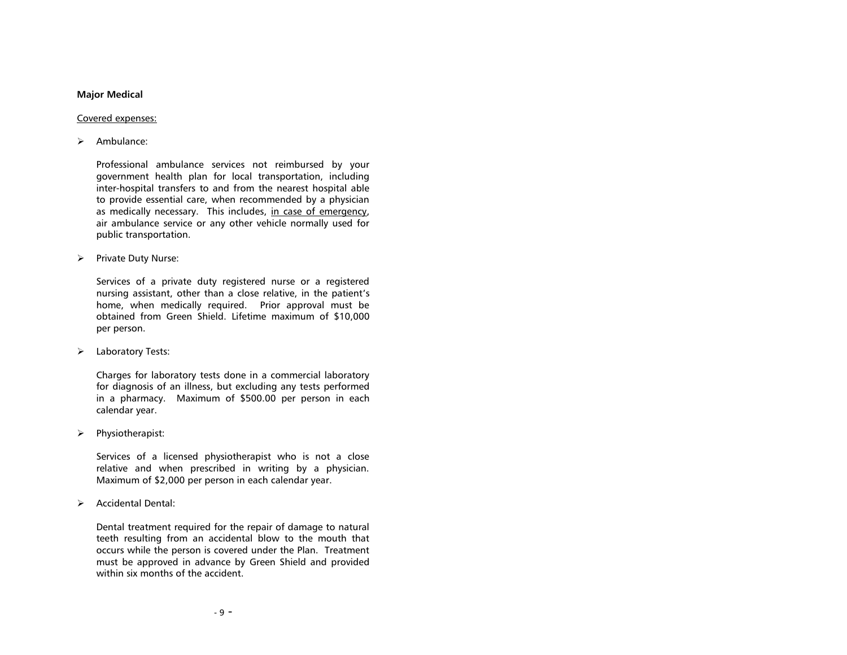## <span id="page-11-0"></span>**Major Medical**

#### Covered expenses:

#### $\triangleright$  Ambulance:

Professional ambulance services not reimbursed by your government health plan for local transportation, including inter-hospital transfers to and from the nearest hospital able to provide essential care, when recommended by a physician as medically necessary. This includes, in case of emergency, air ambulance service or any other vehicle normally used for public transportation.

 $\triangleright$  Private Duty Nurse:

Services of a private duty registered nurse or a registered nursing assistant, other than a close relative, in the patient's home, when medically required. Prior approval must be obtained from Green Shield. Lifetime maximum of \$10,000 per person.

> Laboratory Tests:

Charges for laboratory tests done in a commercial laboratory for diagnosis of an illness, but excluding any tests performed in a pharmacy. Maximum of \$500.00 per person in each calendar year.

 $\triangleright$  Physiotherapist:

Services of a licensed physiotherapist who is not a close relative and when prescribed in writing by a physician. Maximum of \$2,000 per person in each calendar year.

 $\triangleright$  Accidental Dental:

Dental treatment required for the repair of damage to natural teeth resulting from an accidental blow to the mouth that occurs while the person is covered under the Plan. Treatment must be approved in advance by Green Shield and provided within six months of the accident.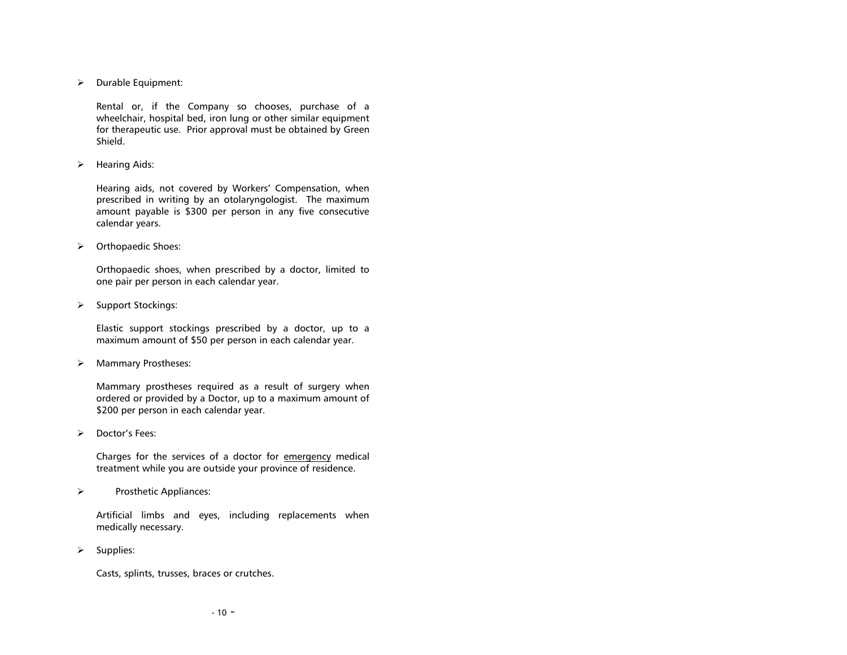$\triangleright$  Durable Equipment:

Rental or, if the Company so chooses, purchase of a wheelchair, hospital bed, iron lung or other similar equipment for therapeutic use. Prior approval must be obtained by Green Shield.

 $\triangleright$  Hearing Aids:

Hearing aids, not covered by Workers' Compensation, when prescribed in writing by an otolaryngologist. The maximum amount payable is \$300 per person in any five consecutive calendar years.

> Orthopaedic Shoes:

Orthopaedic shoes, when prescribed by a doctor, limited to one pair per person in each calendar year.

 $\triangleright$  Support Stockings:

Elastic support stockings prescribed by a doctor, up to a maximum amount of \$50 per person in each calendar year.

> Mammary Prostheses:

Mammary prostheses required as a result of surgery when ordered or provided by a Doctor, up to a maximum amount of \$200 per person in each calendar year.

> Doctor's Fees:

Charges for the services of a doctor for emergency medical treatment while you are outside your province of residence.

 $\triangleright$  Prosthetic Appliances:

Artificial limbs and eyes, including replacements when medically necessary.

 $\triangleright$  Supplies:

Casts, splints, trusses, braces or crutches.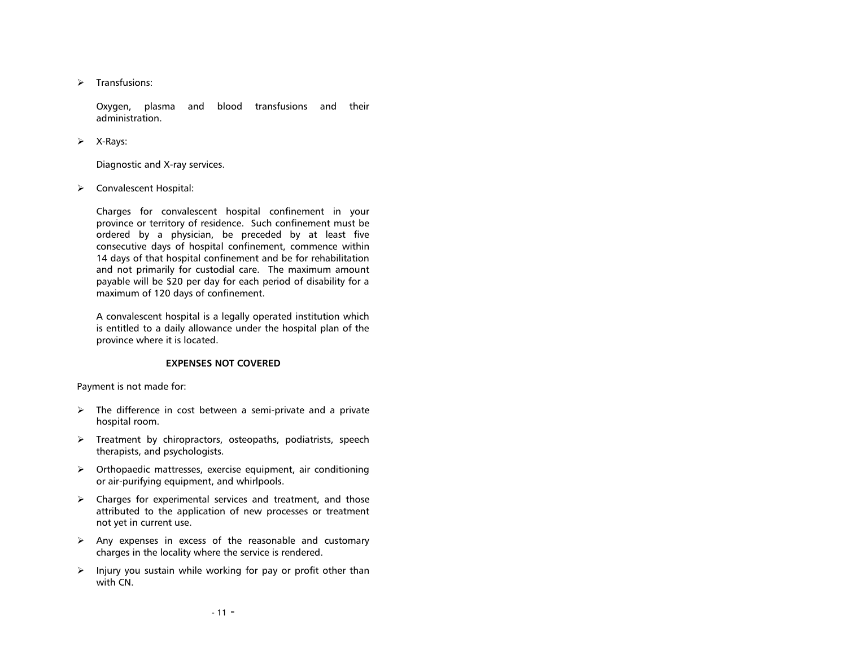$\triangleright$  Transfusions:

Oxygen, plasma and blood transfusions and their administration.

 $\triangleright$  X-Rays:

Diagnostic and X-ray services.

Convalescent Hospital:

Charges for convalescent hospital confinement in your province or territory of residence. Such confinement must be ordered by a physician, be preceded by at least five consecutive days of hospital confinement, commence within 14 days of that hospital confinement and be for rehabilitation and not primarily for custodial care. The maximum amount payable will be \$20 per day for each period of disability for a maximum of 120 days of confinement.

A convalescent hospital is a legally operated institution which is entitled to a daily allowance under the hospital plan of the province where it is located.

## **EXPENSES NOT COVERED**

<span id="page-13-0"></span>Payment is not made for:

- $\triangleright$  The difference in cost between a semi-private and a private hospital room.
- $\triangleright$  Treatment by chiropractors, osteopaths, podiatrists, speech therapists, and psychologists.
- $\triangleright$  Orthopaedic mattresses, exercise equipment, air conditioning or air-purifying equipment, and whirlpools.
- $\triangleright$  Charges for experimental services and treatment, and those attributed to the application of new processes or treatment not yet in current use.
- $\triangleright$  Any expenses in excess of the reasonable and customary charges in the locality where the service is rendered.
- $\triangleright$  Injury you sustain while working for pay or profit other than with CN.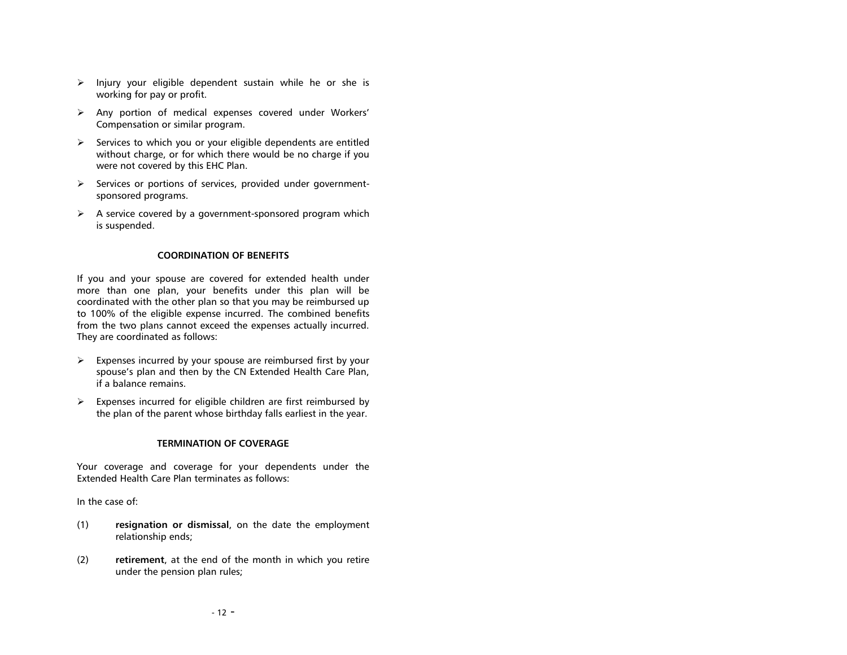- $\triangleright$  Injury your eligible dependent sustain while he or she is working for pay or profit.
- Any portion of medical expenses covered under Workers' Compensation or similar program.
- $\triangleright$  Services to which you or your eligible dependents are entitled without charge, or for which there would be no charge if you were not covered by this EHC Plan.
- $\triangleright$  Services or portions of services, provided under governmentsponsored programs.
- $\triangleright$  A service covered by a government-sponsored program which is suspended.

## **COORDINATION OF BENEFITS**

<span id="page-14-0"></span>If you and your spouse are covered for extended health under more than one plan, your benefits under this plan will be coordinated with the other plan so that you may be reimbursed up to 100% of the eligible expense incurred. The combined benefits from the two plans cannot exceed the expenses actually incurred. They are coordinated as follows:

- $\triangleright$  Expenses incurred by your spouse are reimbursed first by your spouse's plan and then by the CN Extended Health Care Plan, if a balance remains.
- $\triangleright$  Expenses incurred for eligible children are first reimbursed by the plan of the parent whose birthday falls earliest in the year.

## **TERMINATION OF COVERAGE**

<span id="page-14-1"></span>Your coverage and coverage for your dependents under the Extended Health Care Plan terminates as follows:

In the case of:

- (1) **resignation or dismissal**, on the date the employment relationship ends;
- (2) **retirement**, at the end of the month in which you retire under the pension plan rules;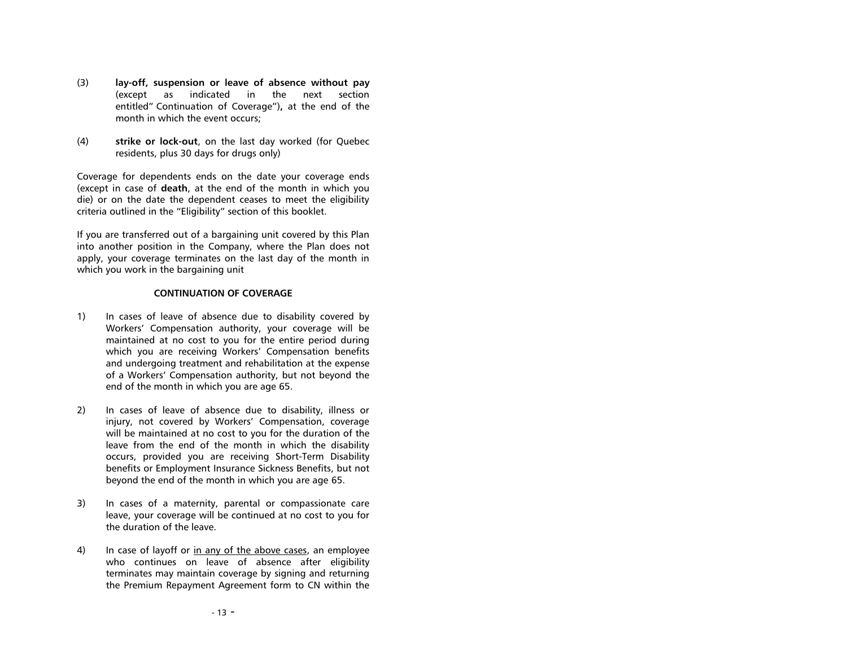- (3) **lay-off, suspension or leave of absence without pay** (except as indicated in the next section entitled" Continuation of Coverage")**,** at the end of the month in which the event occurs;
- (4) **strike or lock-out**, on the last day worked (for Quebec residents, plus 30 days for drugs only)

Coverage for dependents ends on the date your coverage ends (except in case of **death**, at the end of the month in which you die) or on the date the dependent ceases to meet the eligibility criteria outlined in the "Eligibility" section of this booklet.

If you are transferred out of a bargaining unit covered by this Plan into another position in the Company, where the Plan does not apply, your coverage terminates on the last day of the month in which you work in the bargaining unit

# **CONTINUATION OF COVERAGE**

- <span id="page-15-0"></span>1) In cases of leave of absence due to disability covered by Workers' Compensation authority, your coverage will be maintained at no cost to you for the entire period during which you are receiving Workers' Compensation benefits and undergoing treatment and rehabilitation at the expense of a Workers' Compensation authority, but not beyond the end of the month in which you are age 65.
- 2) In cases of leave of absence due to disability, illness or injury, not covered by Workers' Compensation, coverage will be maintained at no cost to you for the duration of the leave from the end of the month in which the disability occurs, provided you are receiving Short-Term Disability benefits or Employment Insurance Sickness Benefits, but not beyond the end of the month in which you are age 65.
- 3) In cases of a maternity, parental or compassionate care leave, your coverage will be continued at no cost to you for the duration of the leave.
- 4) In case of layoff or in any of the above cases, an employee who continues on leave of absence after eligibility terminates may maintain coverage by signing and returning the Premium Repayment Agreement form to CN within the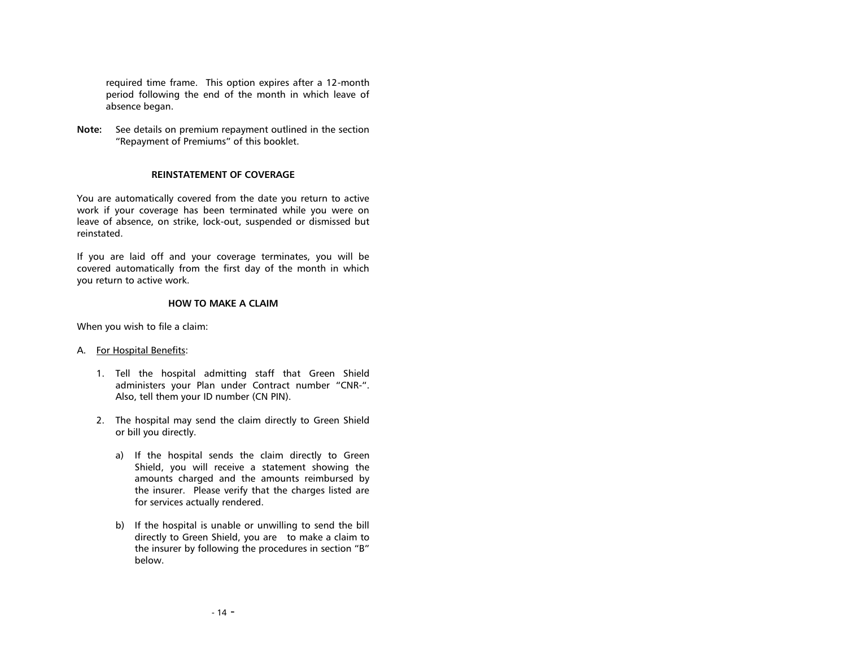required time frame. This option expires after a 12-month period following the end of the month in which leave of absence began.

**Note:** See details on premium repayment outlined in the section "Repayment of Premiums" of this booklet.

## **REINSTATEMENT OF COVERAGE**

<span id="page-16-0"></span>You are automatically covered from the date you return to active work if your coverage has been terminated while you were on leave of absence, on strike, lock-out, suspended or dismissed but reinstated.

If you are laid off and your coverage terminates, you will be covered automatically from the first day of the month in which you return to active work.

## **HOW TO MAKE A CLAIM**

<span id="page-16-1"></span>When you wish to file a claim:

## A. For Hospital Benefits:

- 1. Tell the hospital admitting staff that Green Shield administers your Plan under Contract number "CNR-". Also, tell them your ID number (CN PIN).
- 2. The hospital may send the claim directly to Green Shield or bill you directly.
	- a) If the hospital sends the claim directly to Green Shield, you will receive a statement showing the amounts charged and the amounts reimbursed by the insurer. Please verify that the charges listed are for services actually rendered.
	- b) If the hospital is unable or unwilling to send the bill directly to Green Shield, you are to make a claim to the insurer by following the procedures in section "B" below.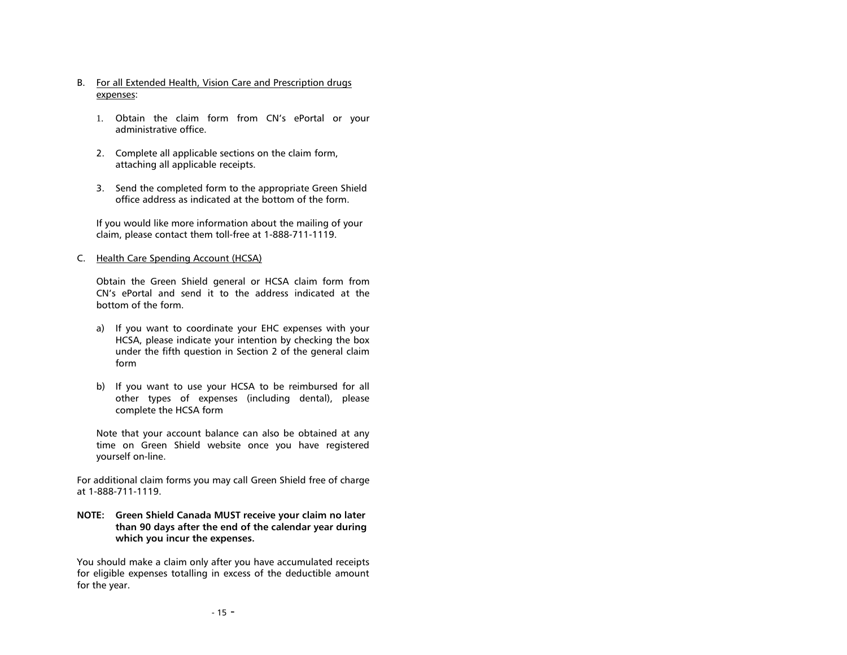- B. For all Extended Health, Vision Care and Prescription drugs expenses:
	- 1. Obtain the claim form from CN's ePortal or your administrative office.
	- 2. Complete all applicable sections on the claim form, attaching all applicable receipts.
	- 3. Send the completed form to the appropriate Green Shield office address as indicated at the bottom of the form.

If you would like more information about the mailing of your claim, please contact them toll-free at 1-888-711-1119.

## C. Health Care Spending Account (HCSA)

Obtain the Green Shield general or HCSA claim form from CN's ePortal and send it to the address indicated at the bottom of the form.

- a) If you want to coordinate your EHC expenses with your HCSA, please indicate your intention by checking the box under the fifth question in Section 2 of the general claim form
- b) If you want to use your HCSA to be reimbursed for all other types of expenses (including dental), please complete the HCSA form

Note that your account balance can also be obtained at any time on Green Shield website once you have registered yourself on-line.

For additional claim forms you may call Green Shield free of charge at 1-888-711-1119.

**NOTE: Green Shield Canada MUST receive your claim no later than 90 days after the end of the calendar year during which you incur the expenses.**

You should make a claim only after you have accumulated receipts for eligible expenses totalling in excess of the deductible amount for the year.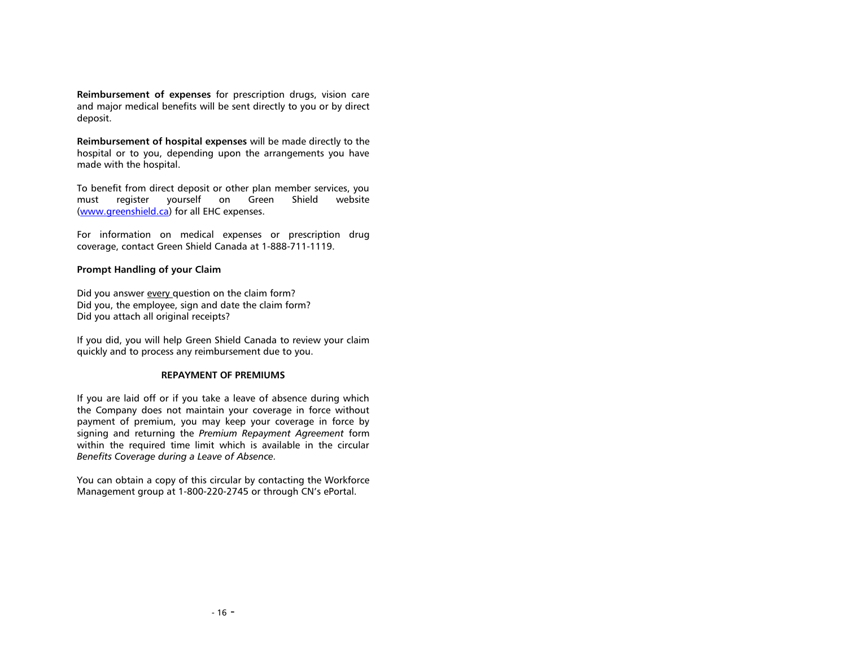**Reimbursement of expenses** for prescription drugs, vision care and major medical benefits will be sent directly to you or by direct deposit.

**Reimbursement of hospital expenses** will be made directly to the hospital or to you, depending upon the arrangements you have made with the hospital.

To benefit from direct deposit or other plan member services, you must register yourself on Green Shield website [\(www.greenshield.ca\)](http://www.greenshield.ca/) for all EHC expenses.

For information on medical expenses or prescription drug coverage, contact Green Shield Canada at 1-888-711-1119.

## **Prompt Handling of your Claim**

Did you answer every question on the claim form? Did you, the employee, sign and date the claim form? Did you attach all original receipts?

If you did, you will help Green Shield Canada to review your claim quickly and to process any reimbursement due to you.

## **REPAYMENT OF PREMIUMS**

<span id="page-18-0"></span>If you are laid off or if you take a leave of absence during which the Company does not maintain your coverage in force without payment of premium, you may keep your coverage in force by signing and returning the *Premium Repayment Agreement* form within the required time limit which is available in the circular *Benefits Coverage during a Leave of Absence.* 

<span id="page-18-1"></span>You can obtain a copy of this circular by contacting the Workforce Management group at 1-800-220-2745 or through CN's ePortal.